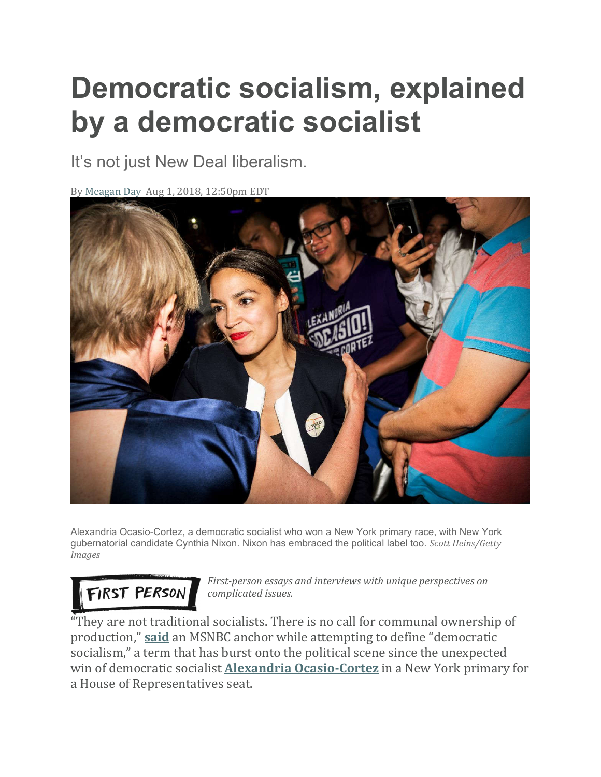# **Democratic socialism, explained by a democratic socialist**

It's not just New Deal liberalism.

By Meagan Day Aug 1, 2018, 12:50pm EDT



Alexandria Ocasio-Cortez, a democratic socialist who won a New York primary race, with New York gubernatorial candidate Cynthia Nixon. Nixon has embraced the political label too. *Scott Heins/Getty Images*

## FIRST PERSON

*First-person essays and interviews with unique perspectives on complicated issues.*

"They are not traditional socialists. There is no call for communal ownership of production," **said** an MSNBC anchor while attempting to define "democratic socialism," a term that has burst onto the political scene since the unexpected win of democratic socialist **Alexandria Ocasio-Cortez** in a New York primary for a House of Representatives seat.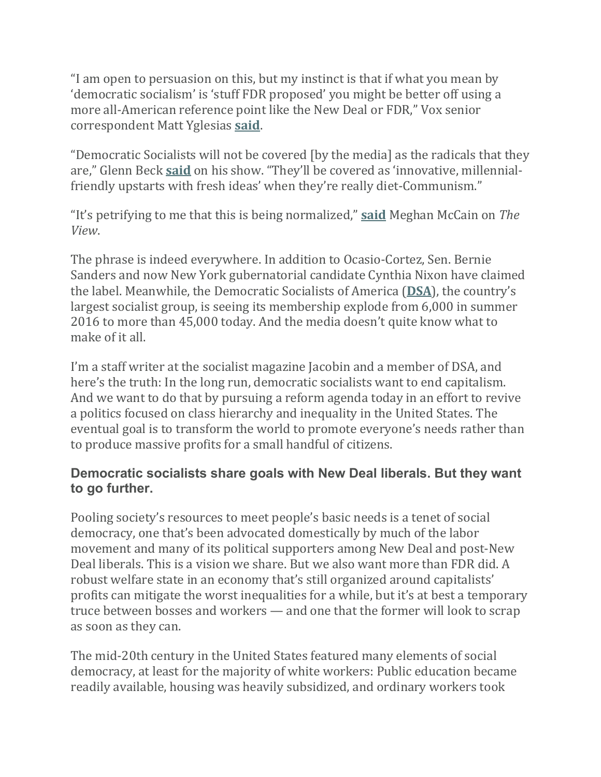"I am open to persuasion on this, but my instinct is that if what you mean by 'democratic socialism' is 'stuff FDR proposed' you might be better off using a more all-American reference point like the New Deal or FDR," Vox senior correspondent Matt Yglesias **said**.

"Democratic Socialists will not be covered [by the media] as the radicals that they are," Glenn Beck **said** on his show. "They'll be covered as 'innovative, millennialfriendly upstarts with fresh ideas' when they're really diet-Communism."

"It's petrifying to me that this is being normalized," **said** Meghan McCain on *The View*.

The phrase is indeed everywhere. In addition to Ocasio-Cortez, Sen. Bernie Sanders and now New York gubernatorial candidate Cynthia Nixon have claimed the label. Meanwhile, the Democratic Socialists of America (**DSA**), the country's largest socialist group, is seeing its membership explode from 6,000 in summer 2016 to more than 45,000 today. And the media doesn't quite know what to make of it all.

I'm a staff writer at the socialist magazine Jacobin and a member of DSA, and here's the truth: In the long run, democratic socialists want to end capitalism. And we want to do that by pursuing a reform agenda today in an effort to revive a politics focused on class hierarchy and inequality in the United States. The eventual goal is to transform the world to promote everyone's needs rather than to produce massive profits for a small handful of citizens.

#### **Democratic socialists share goals with New Deal liberals. But they want to go further.**

Pooling society's resources to meet people's basic needs is a tenet of social democracy, one that's been advocated domestically by much of the labor movement and many of its political supporters among New Deal and post-New Deal liberals. This is a vision we share. But we also want more than FDR did. A robust welfare state in an economy that's still organized around capitalists' profits can mitigate the worst inequalities for a while, but it's at best a temporary truce between bosses and workers — and one that the former will look to scrap as soon as they can.

The mid-20th century in the United States featured many elements of social democracy, at least for the majority of white workers: Public education became readily available, housing was heavily subsidized, and ordinary workers took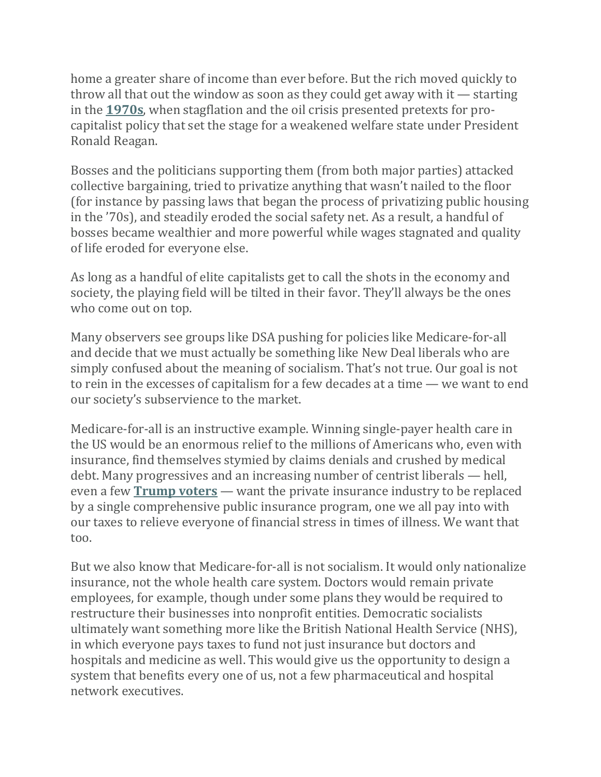home a greater share of income than ever before. But the rich moved quickly to throw all that out the window as soon as they could get away with it — starting in the **1970s**, when stagflation and the oil crisis presented pretexts for procapitalist policy that set the stage for a weakened welfare state under President Ronald Reagan.

Bosses and the politicians supporting them (from both major parties) attacked collective bargaining, tried to privatize anything that wasn't nailed to the floor (for instance by passing laws that began the process of privatizing public housing in the '70s), and steadily eroded the social safety net. As a result, a handful of bosses became wealthier and more powerful while wages stagnated and quality of life eroded for everyone else.

As long as a handful of elite capitalists get to call the shots in the economy and society, the playing field will be tilted in their favor. They'll always be the ones who come out on top.

Many observers see groups like DSA pushing for policies like Medicare-for-all and decide that we must actually be something like New Deal liberals who are simply confused about the meaning of socialism. That's not true. Our goal is not to rein in the excesses of capitalism for a few decades at a time — we want to end our society's subservience to the market.

Medicare-for-all is an instructive example. Winning single-payer health care in the US would be an enormous relief to the millions of Americans who, even with insurance, find themselves stymied by claims denials and crushed by medical debt. Many progressives and an increasing number of centrist liberals — hell, even a few **Trump voters** — want the private insurance industry to be replaced by a single comprehensive public insurance program, one we all pay into with our taxes to relieve everyone of financial stress in times of illness. We want that too.

But we also know that Medicare-for-all is not socialism. It would only nationalize insurance, not the whole health care system. Doctors would remain private employees, for example, though under some plans they would be required to restructure their businesses into nonprofit entities. Democratic socialists ultimately want something more like the British National Health Service (NHS), in which everyone pays taxes to fund not just insurance but doctors and hospitals and medicine as well. This would give us the opportunity to design a system that benefits every one of us, not a few pharmaceutical and hospital network executives.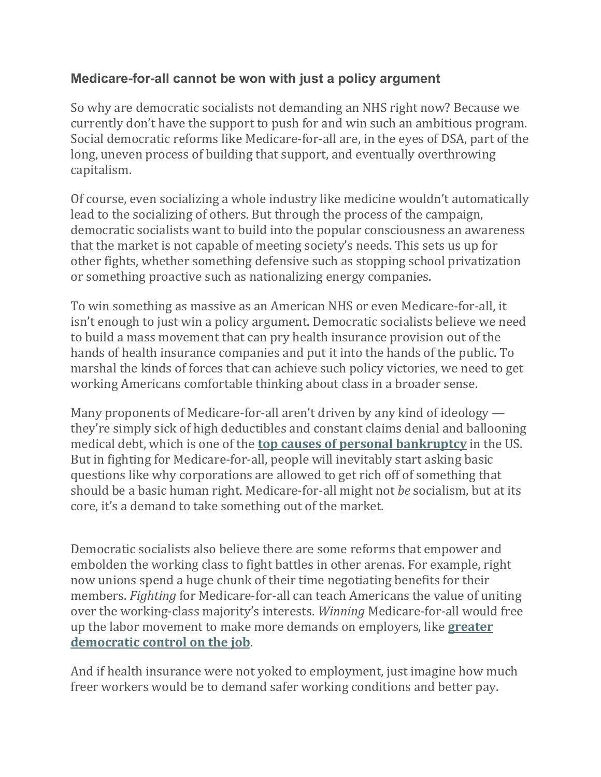#### **Medicare-for-all cannot be won with just a policy argument**

So why are democratic socialists not demanding an NHS right now? Because we currently don't have the support to push for and win such an ambitious program. Social democratic reforms like Medicare-for-all are, in the eyes of DSA, part of the long, uneven process of building that support, and eventually overthrowing capitalism.

Of course, even socializing a whole industry like medicine wouldn't automatically lead to the socializing of others. But through the process of the campaign, democratic socialists want to build into the popular consciousness an awareness that the market is not capable of meeting society's needs. This sets us up for other fights, whether something defensive such as stopping school privatization or something proactive such as nationalizing energy companies.

To win something as massive as an American NHS or even Medicare-for-all, it isn't enough to just win a policy argument. Democratic socialists believe we need to build a mass movement that can pry health insurance provision out of the hands of health insurance companies and put it into the hands of the public. To marshal the kinds of forces that can achieve such policy victories, we need to get working Americans comfortable thinking about class in a broader sense.

Many proponents of Medicare-for-all aren't driven by any kind of ideology they're simply sick of high deductibles and constant claims denial and ballooning medical debt, which is one of the **top causes of personal bankruptcy** in the US. But in fighting for Medicare-for-all, people will inevitably start asking basic questions like why corporations are allowed to get rich off of something that should be a basic human right. Medicare-for-all might not *be* socialism, but at its core, it's a demand to take something out of the market.

Democratic socialists also believe there are some reforms that empower and embolden the working class to fight battles in other arenas. For example, right now unions spend a huge chunk of their time negotiating benefits for their members. *Fighting* for Medicare-for-all can teach Americans the value of uniting over the working-class majority's interests. *Winning* Medicare-for-all would free up the labor movement to make more demands on employers, like **greater democratic control on the job**.

And if health insurance were not yoked to employment, just imagine how much freer workers would be to demand safer working conditions and better pay.